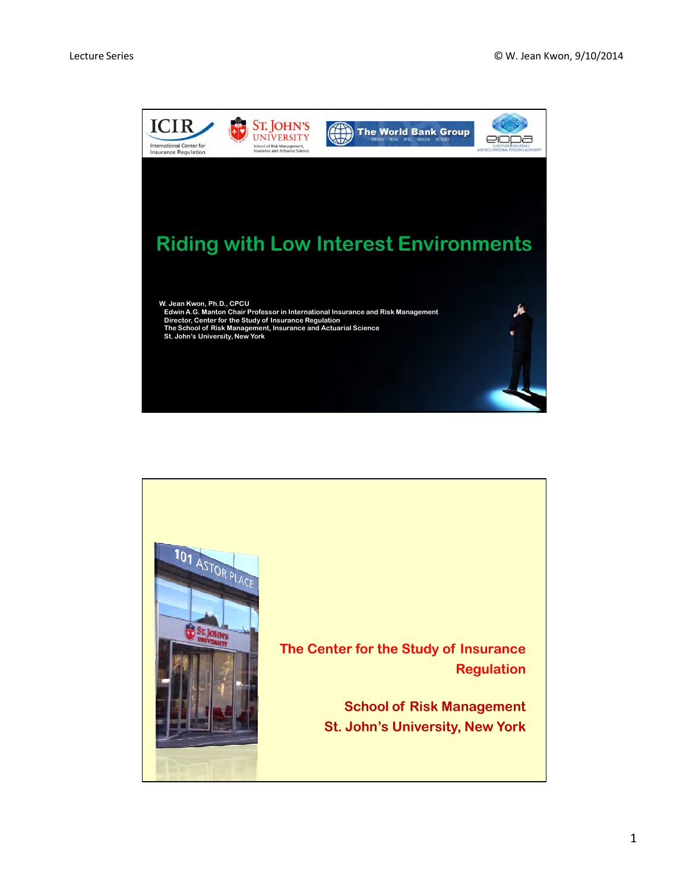

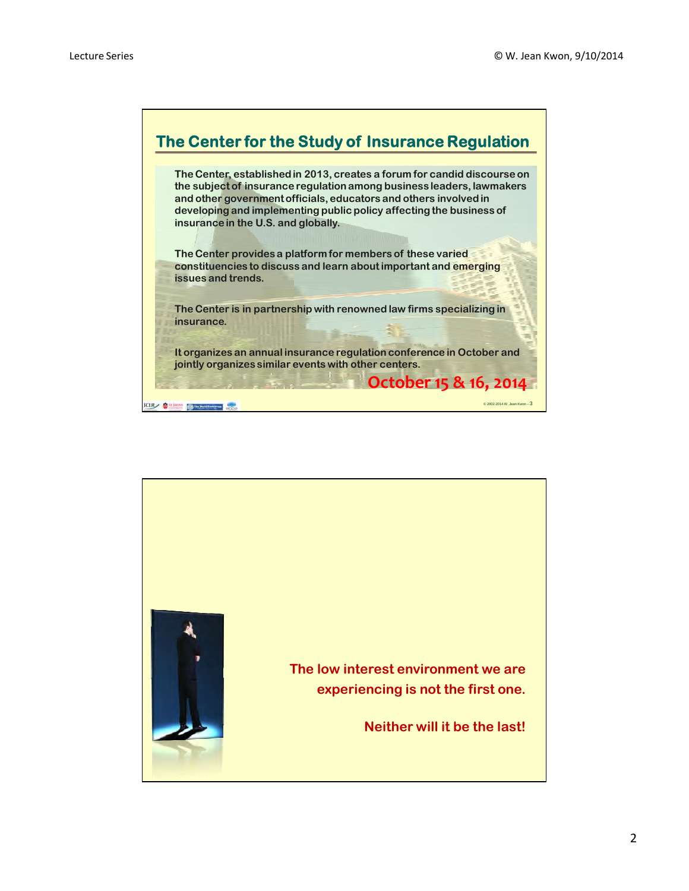

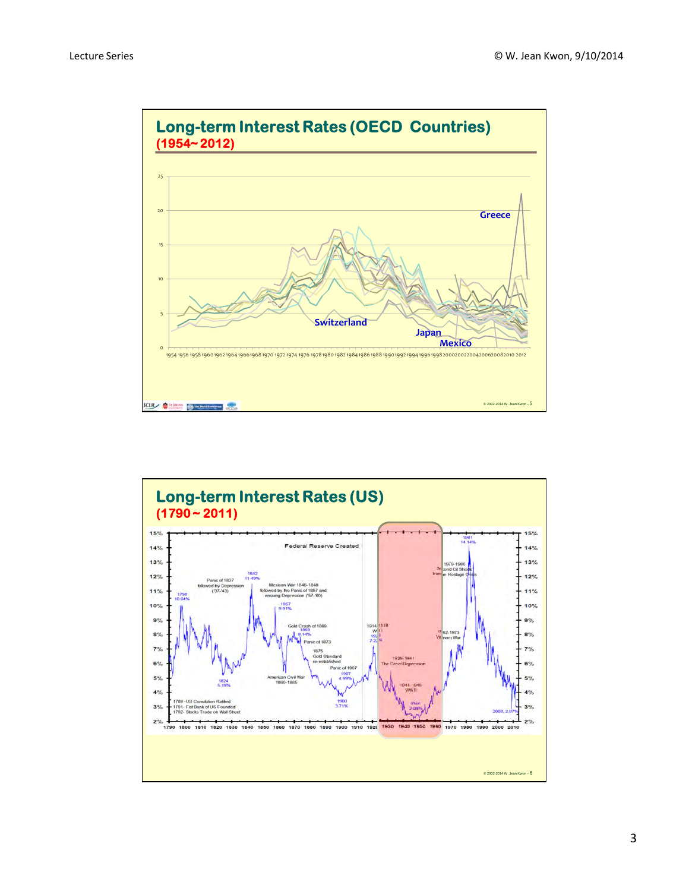

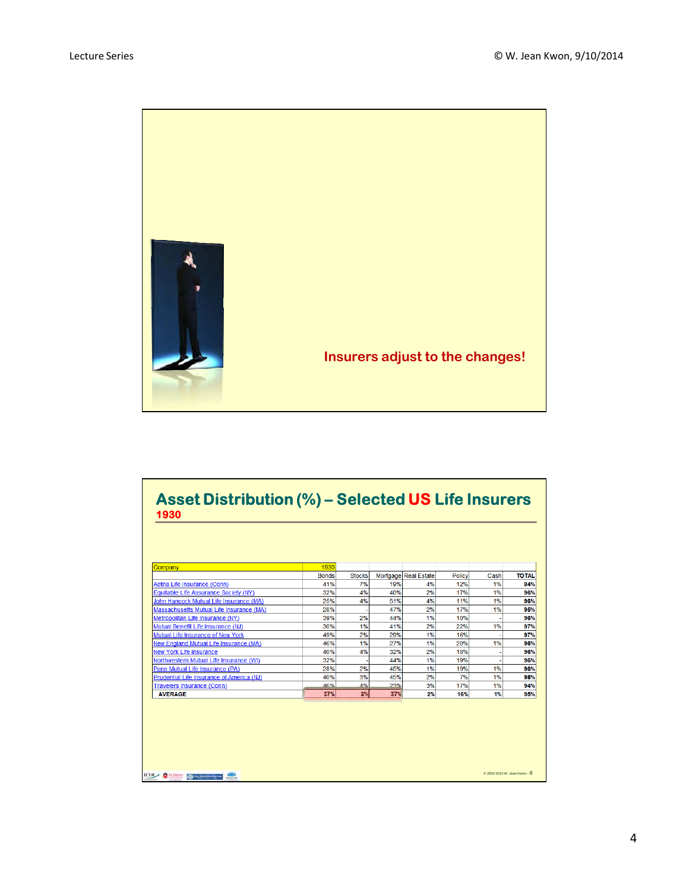

| Company                                   | 1930         |               |     |                      |        |      |              |
|-------------------------------------------|--------------|---------------|-----|----------------------|--------|------|--------------|
|                                           | <b>Bonds</b> | <b>Stocks</b> |     | Mortgage Real Estate | Policy | Cash | <b>TOTAL</b> |
| Aetna Life Insurance (Conn)               | 41%          | 7%            | 19% | 4%                   | 12%    | 1%   | 84%          |
| Equitable Life Assurance Society (NY)     | 32%          | 4%            | 40% | 2%                   | 17%    | 1%   | 96%          |
| John Hancock Mutual Life Insurance (MA)   | 25%          | 4%            | 51% | 4%                   | 11%    | 1%   | 96%          |
| Massachusetts Mutual Life Insurance (MA)  | 28%          |               | 47% | 2%                   | 17%    | 1%   | 95%          |
| Metropolitan Life Insurance (NY)          | 39%          | 2%            | 44% | 1%                   | 10%    |      | 96%          |
| Mutual Benefit Life Insurance (NJ)        | 30%          | 1%            | 41% | 2%                   | 22%    | 1%   | 97%          |
| Mutual Life Insurance of New York         | 49%          | 2%            | 29% | 1%                   | 16%    |      | 97%          |
| New England Mutual Life Insurance (MA)    | 46%          | 1%            | 27% | 1%                   | 20%    | 1%   | 96%          |
| <b>New York Life Insurance</b>            | 40%          | 4%            | 32% | 2%                   | 18%    |      | 96%          |
| Northwestern Mutual Life Insurance (WI)   | 32%          |               | 44% | 1%                   | 19%    |      | 96%          |
| Penn Mutual Life Insurance (PA)           | 28%          | 2%            | 45% | 1%                   | 19%    | 1%   | 96%          |
| Prudential Life Insurance of America (NJ) | 40%          | 3%            | 45% | 2%                   | 7%     | 1%   | 98%          |
| Travelers Insurance (Conn)                | 46%          | $A^{0}$       | 23% | 3%                   | 17%    | 1%   | 94%          |
| <b>AVERAGE</b>                            | 37%          | 3%            | 37% | 2%                   | 16%    | 1%   | 95%          |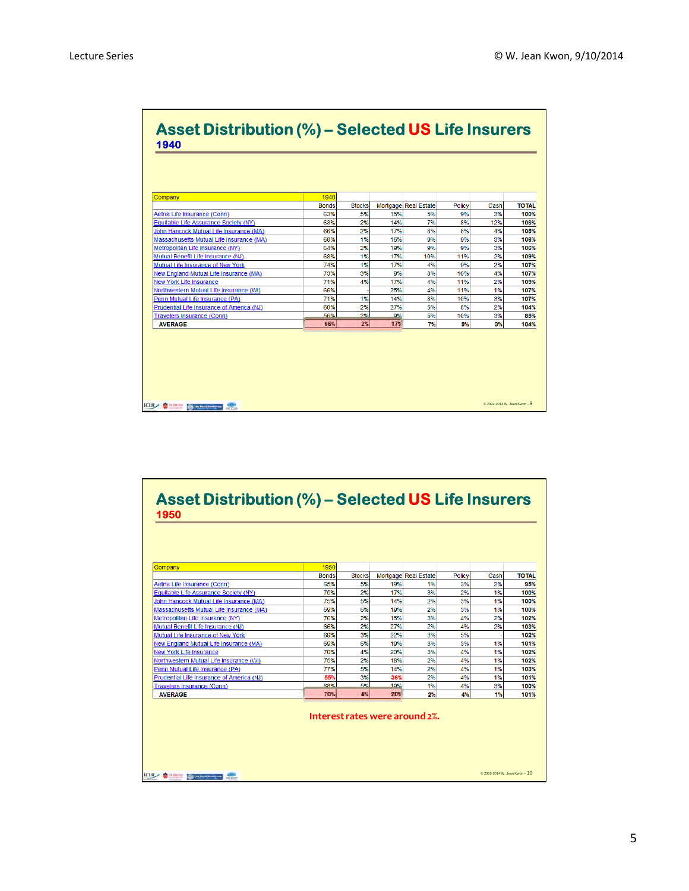٦

| Company                                   | 1940         |               |       |                      |               |      |              |
|-------------------------------------------|--------------|---------------|-------|----------------------|---------------|------|--------------|
|                                           | <b>Bonds</b> | <b>Stocks</b> |       | Mortgage Real Estate | <b>Policy</b> | Cash | <b>TOTAL</b> |
| Aetna Life Insurance (Conn)               | 63%          | 5%            | 15%   | 5%                   | 9%            | 3%   | 100%         |
| Equitable Life Assurance Society (NY)     | 63%          | 2%            | 14%   | 7%                   | 8%            | 12%  | 106%         |
| John Hancock Mutual Life Insurance (MA)   | 66%          | 2%            | 17%   | 8%                   | 8%            | 4%   | 105%         |
| Massachusetts Mutual Life Insurance (MA)  | 68%          | 1%            | 16%   | 9%                   | 9%            | 3%   | 106%         |
| Metropolitan Life Insurance (NY)          | 64%          | 2%            | 19%   | 9%                   | 9%            | 3%   | 106%         |
| Mutual Benefit Life Insurance (NJ)        | 68%          | 1%            | 17%   | 10%                  | 11%           | 2%   | 109%         |
| Mutual Life Insurance of New York         | 74%          | 1%            | 17%   | 4%                   | 9%            | 2%   | 107%         |
| New England Mutual Life Insurance (MA)    | 73%          | 3%            | 9%    | 8%                   | 10%           | 4%   | 107%         |
| <b>New York Life Insurance</b>            | 71%          | 4%            | 17%   | 4%                   | 11%           | 2%   | 109%         |
| Northwestern Mutual Life Insurance (WI)   | 66%          |               | 25%   | 4%                   | 11%           | 1%   | 107%         |
| Penn Mutual Life Insurance (PA)           | 71%          | 1%            | 14%   | 8%                   | 10%           | 3%   | 107%         |
| Prudential Life Insurance of America (NJ) | 60%          | 2%            | 27%   | 5%                   | 8%            | 2%   | 104%         |
| <b>Travelers Insurance (Conn)</b>         | 56%          | 2%            | $Q\%$ | 5%                   | 10%           | 3%   | 85%          |
| <b>AVERAGE</b>                            | 66%          | $2\%$         | 17%   | 7%                   | 9%            | 3%   | 104%         |

## **Asset Distribution (%) – Selected US Life Insurers 1950**

| Company                                       | 1950         |               |     |                      |        |      |              |
|-----------------------------------------------|--------------|---------------|-----|----------------------|--------|------|--------------|
|                                               | <b>Bonds</b> | <b>Stocks</b> |     | Mortgage Real Estate | Policy | Cash | <b>TOTAL</b> |
| Aetna Life Insurance (Conn)                   | 65%          | 5%            | 19% | 1%                   | 3%     | 2%   | 95%          |
| Equitable Life Assurance Society (NY)         | 75%          | 2%            | 17% | 3%                   | 2%     | 1%   | 100%         |
| John Hancock Mutual Life Insurance (MA)       | 75%          | 5%            | 14% | 2%                   | 3%     | 1%   | 100%         |
| Massachusetts Mutual Life Insurance (MA)      | 69%          | 6%            | 19% | 2%                   | 3%     | 1%   | 100%         |
| Metropolitan Life Insurance (NY)              | 76%          | 2%            | 15% | 3%                   | 4%     | 2%   | 102%         |
| Mutual Benefit Life Insurance (NJ)            | 66%          | 2%            | 27% | 2%                   | 4%     | 2%   | 103%         |
| Mutual Life Insurance of New York             | 69%          | 3%            | 22% | 3%                   | 5%     |      | 102%         |
| <b>New England Mutual Life Insurance (MA)</b> | 69%          | 6%            | 19% | 3%                   | 3%     | 1%   | 101%         |
| <b>New York Life Insurance</b>                | 70%          | 4%            | 20% | 3%                   | 4%     | 1%   | 102%         |
| Northwestern Mutual Life Insurance (WI)       | 75%          | 2%            | 18% | 2%                   | 4%     | 1%   | 102%         |
| Penn Mutual Life Insurance (PA)               | 77%          | 5%            | 14% | 2%                   | 4%     | 1%   | 103%         |
| Prudential Life Insurance of America (NJ)     | 55%          | 3%            | 36% | 2%                   | 4%     | 1%   | 101%         |
| Travelers Insurance (Conn)                    | 68%          | 5%            | 10% | 1%                   | 4%     | 3%   | 100%         |
| <b>AVERAGE</b>                                | 70%          | 4%            | 20% | 2%                   | 4%     | 1%   | 101%         |

**CIR SHOW BIRDER CO.** 

© 2002-2014 W. Jean Kwon – 10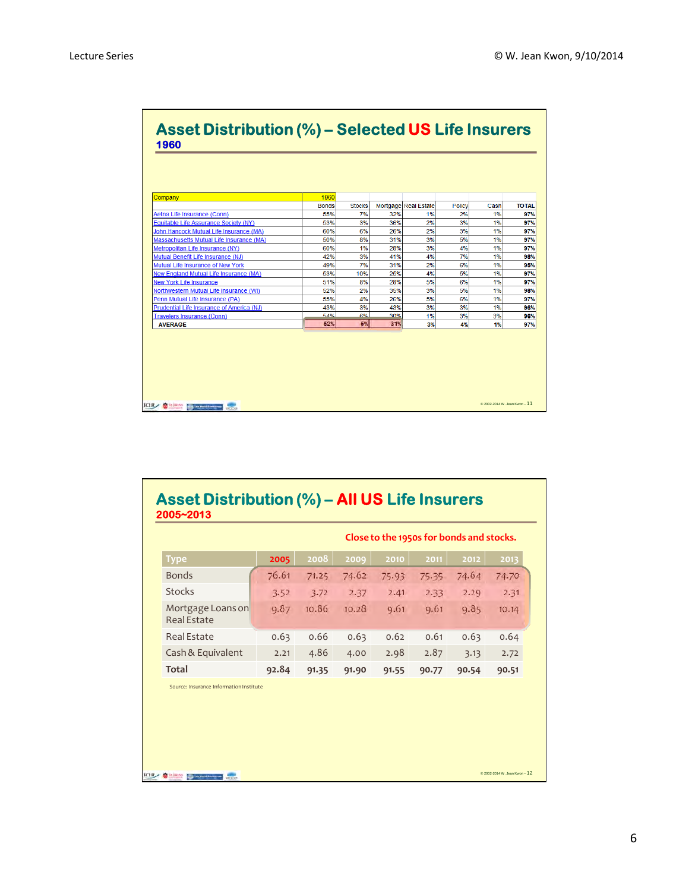**The Company** 

**Contract Contract Contract Contract** 

| <b>Asset Distribution (%) – Selected US Life Insurers</b><br>1960 |              |               |     |                      |        |      |              |
|-------------------------------------------------------------------|--------------|---------------|-----|----------------------|--------|------|--------------|
|                                                                   |              |               |     |                      |        |      |              |
|                                                                   |              |               |     |                      |        |      |              |
| Company                                                           | 1960         |               |     |                      |        |      |              |
|                                                                   | <b>Bonds</b> | <b>Stocks</b> |     | Mortgage Real Estate | Policy | Cash | <b>TOTAL</b> |
| Aetna Life Insurance (Conn)                                       | 55%          | 7%            | 32% | 1%                   | 2%     | 1%   | 97%          |
| Equitable Life Assurance Society (NY)                             | 53%          | 3%            | 36% | 2%                   | 3%     | 1%   | 97%          |
| John Hancock Mutual Life Insurance (MA)                           | 60%          | 6%            | 26% | 2%                   | 3%     | 1%   | 97%          |
| Massachusetts Mutual Life Insurance (MA)                          | 50%          | 8%            | 31% | 3%                   | 5%     | 1%   | 97%          |
| Metropolitan Life Insurance (NY)                                  | 60%          | 1%            | 28% | 3%                   | 4%     | 1%   | 97%          |
| Mutual Benefit Life Insurance (NJ)                                | 42%          | 3%            | 41% | 4%                   | 7%     | 1%   | 98%          |
| Mutual Life Insurance of New York                                 | 49%          | 7%            | 31% | 2%                   | 6%     | 1%   | 95%          |
| New England Mutual Life Insurance (MA)                            | 53%          | 10%           | 25% | 4%                   | 5%     | 1%   | 97%          |
| <b>New York Life Insurance</b>                                    | 51%          | 8%            | 28% | 5%                   | 6%     | 1%   | 97%          |
| Northwestern Mutual Life Insurance (WI)                           | 52%          | 2%            | 35% | 3%                   | 5%     | 1%   | 98%          |
| Penn Mutual Life Insurance (PA)                                   | 55%          | 4%            | 26% | 5%                   | 6%     | 1%   | 97%          |
| Prudential Life Insurance of America (NJ)                         | 43%          | 3%            | 43% | 3%                   | 3%     | 1%   | 96%          |
| Travelers Insurance (Conn)                                        | 54%          | 6%            | 30% | 1%                   | 3%     | 3%   | 96%          |
| <b>AVERAGE</b>                                                    | 52%          | 6%            | 31% | 3%                   | 4%     | 1%   | 97%          |

## **Asset Distribution (%) – All US Life Insurers 2005~2013**

|                                                                    |       |       |       | Close to the 1950s for bonds and stocks. |       |       |                               |
|--------------------------------------------------------------------|-------|-------|-------|------------------------------------------|-------|-------|-------------------------------|
| <b>Type</b>                                                        | 2005  | 2008  | 2009  | 2010                                     | 2011  | 2012  | 2013                          |
| <b>Bonds</b>                                                       | 76.61 | 71.25 | 74.62 | 75.93                                    | 75.35 | 74.64 | 74.70                         |
| <b>Stocks</b>                                                      | 3.52  | 3.72  | 2.37  | 2.41                                     | 2.33  | 2.29  | 2.31                          |
| Mortgage Loans on<br><b>Real Estate</b>                            | 9.87  | 10.86 | 10.28 | 9.61                                     | 9.61  | 9.85  | 10.14                         |
| <b>Real Estate</b>                                                 | 0.63  | 0.66  | 0.63  | 0.62                                     | 0.61  | 0.63  | 0.64                          |
| Cash & Equivalent                                                  | 2.21  | 4.86  | 4.00  | 2.98                                     | 2.87  | 3.13  | 2.72                          |
| <b>Total</b>                                                       | 92.84 | 91.35 | 91.90 | 91.55                                    | 90.77 | 90.54 | 90.51                         |
| Source: Insurance Information Institute                            |       |       |       |                                          |       |       |                               |
| <b>St Juneys</b><br><b>STAR</b><br><b>SB The Build East Street</b> |       |       |       |                                          |       |       | @ 2002-2014 W. Jean Kwon - 12 |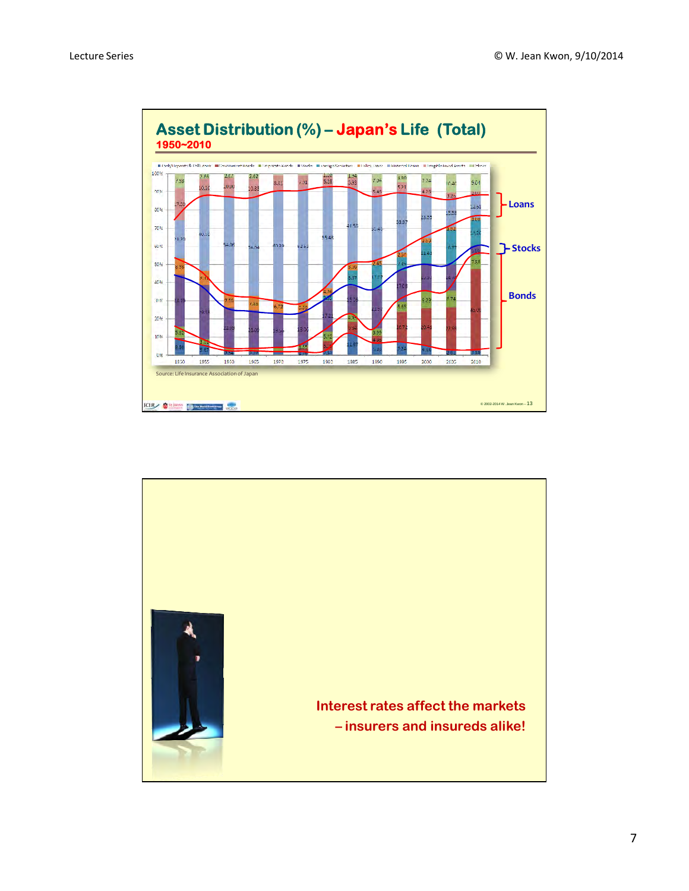

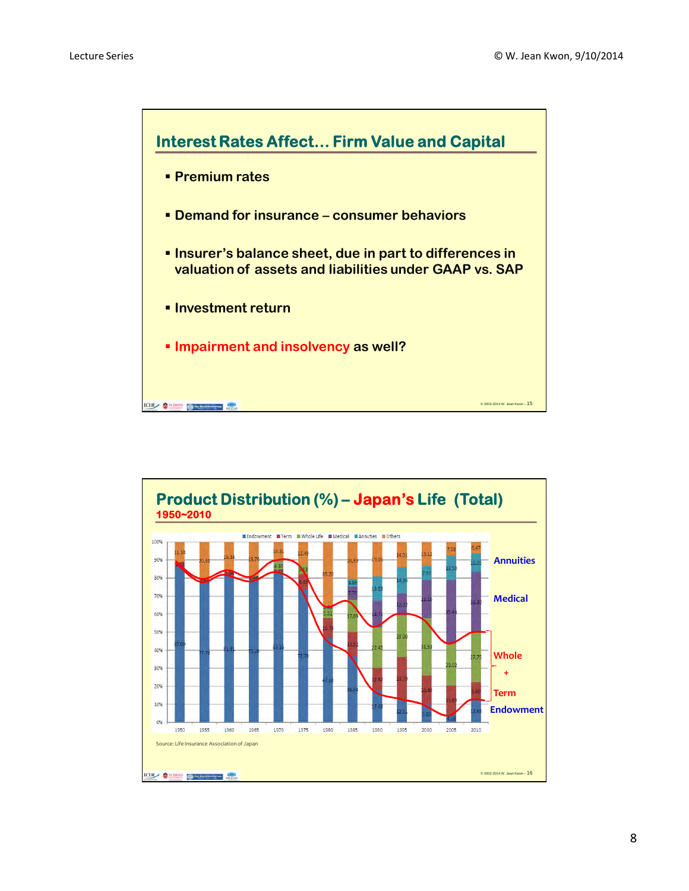

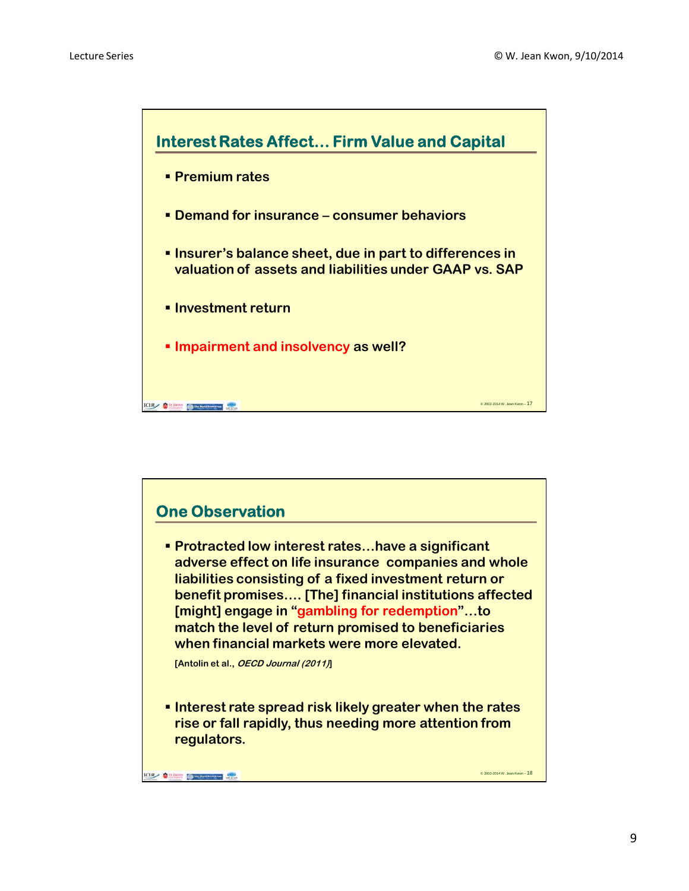

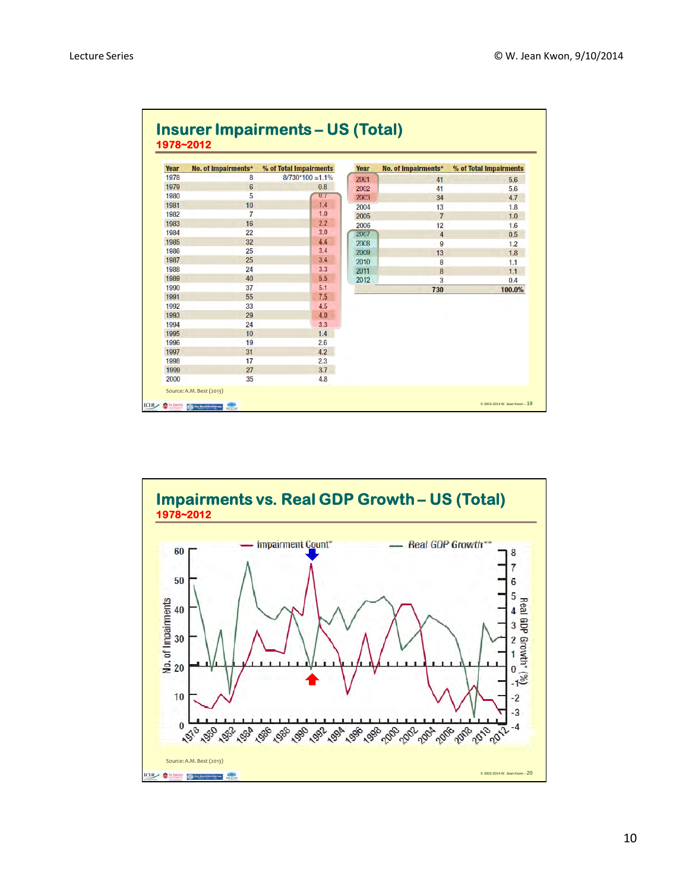| <b>Year</b> | No. of Impairments* | % of Total Impairments | <b>Year</b> | No. of Impairments* | % of Total Impairments |
|-------------|---------------------|------------------------|-------------|---------------------|------------------------|
| 1978        | 8                   | $8/730*100 = 1.1\%$    | 2001        | 41                  | 5.6                    |
| 1979        | $6\phantom{1}6$     | 0.8                    | 2002        | 41                  | 5.6                    |
| 1980        | 5                   | $\alpha$               | 2003        | 34                  | 4.7                    |
| 1981        | 10                  | 1.4                    | 2004        | 13                  | 1.8                    |
| 1982        | 7                   | 1.0                    | 2005        | $\overline{7}$      | 1.0                    |
| 1983        | 16                  | 2.2                    | 2006        | 12                  | 1.6                    |
| 1984        | 22                  | 3.0                    | 2007        | 4                   | 0.5                    |
| 1985        | 32                  | 4.4                    | 2008        | 9                   | 1.2                    |
| 1986        | 25                  | 3.4                    | 2009        | 13                  | 1.8                    |
| 1987        | 25                  | 3.4                    | 2010        | 8                   | 1.1                    |
| 1988        | 24                  | 3.3                    | 2011        | 8                   | 1.1                    |
| 1989        | 40                  | 5.5                    | 2012        | 3                   | 0.4                    |
| 1990        | 37                  | 5.1                    |             | 730                 | 100.0%                 |
| 1991        | 55                  | 7.5                    |             |                     |                        |
| 1992        | 33                  | 4.5                    |             |                     |                        |
| 1993        | 29                  | 4.0                    |             |                     |                        |
| 1994        | 24                  | 3.3                    |             |                     |                        |
| 1995        | 10                  | 1.4                    |             |                     |                        |
| 1996        | 19                  | 2.6                    |             |                     |                        |
| 1997        | 31                  | 4.2                    |             |                     |                        |
| 1998        | 17                  | 2.3                    |             |                     |                        |
| 1999        | 27                  | 3.7                    |             |                     |                        |
| 2000        | 35                  | 4.8                    |             |                     |                        |



10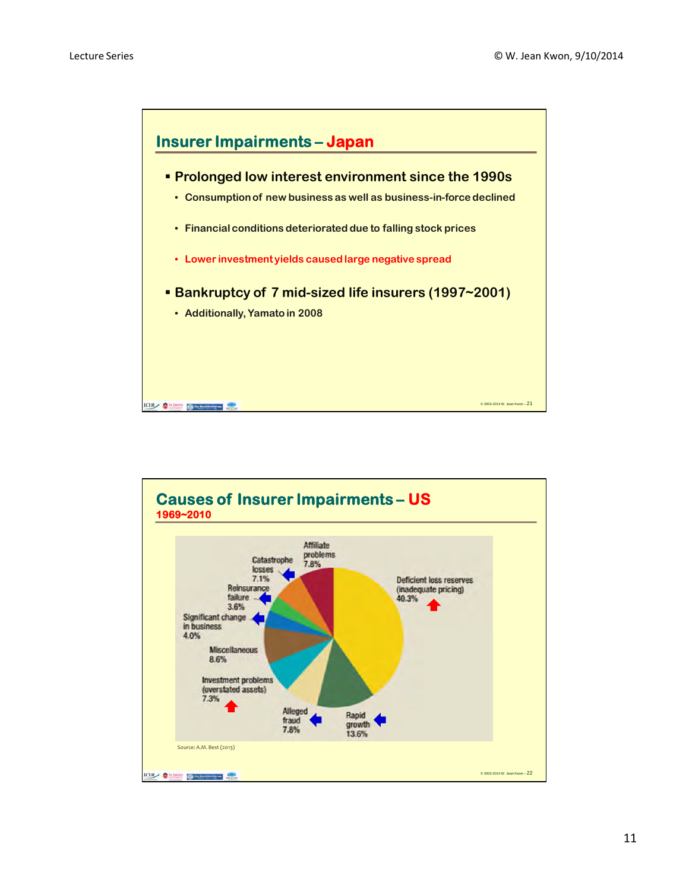

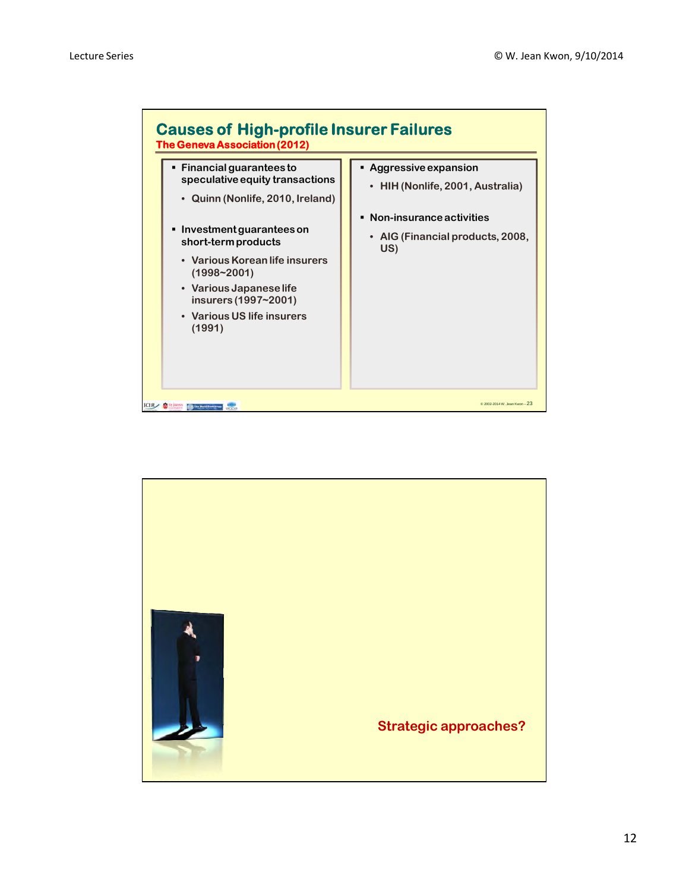

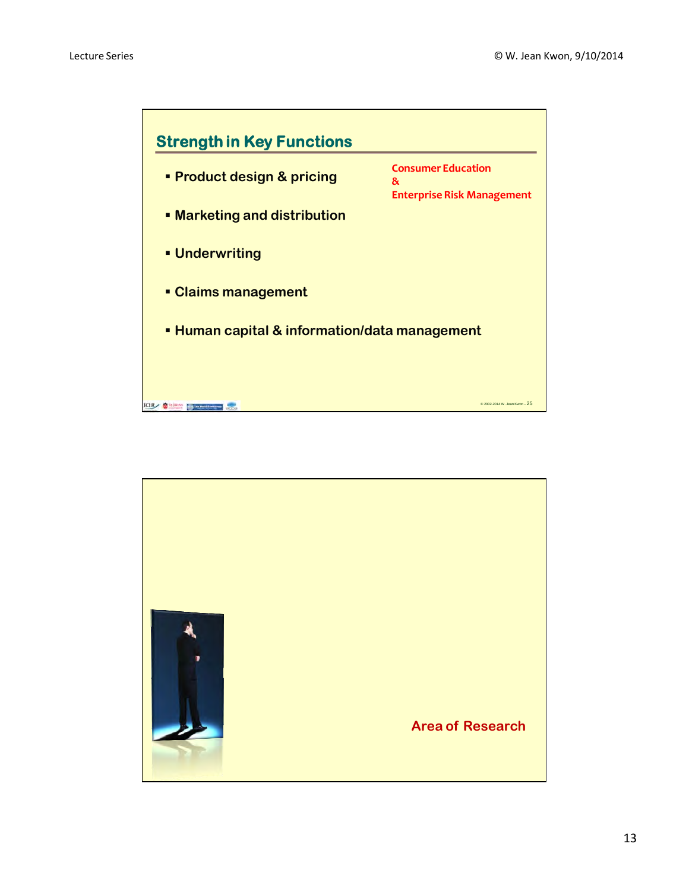

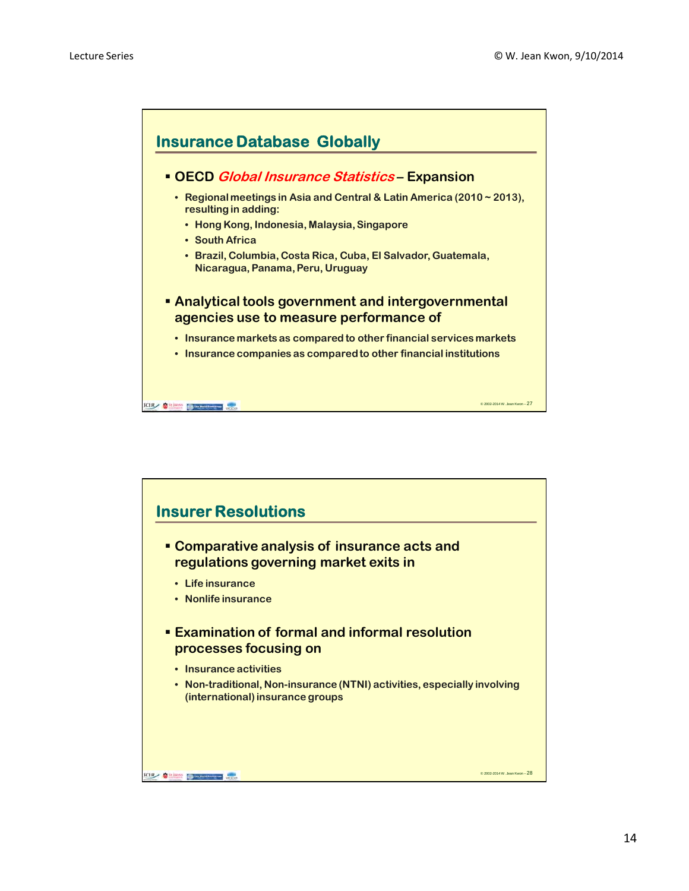